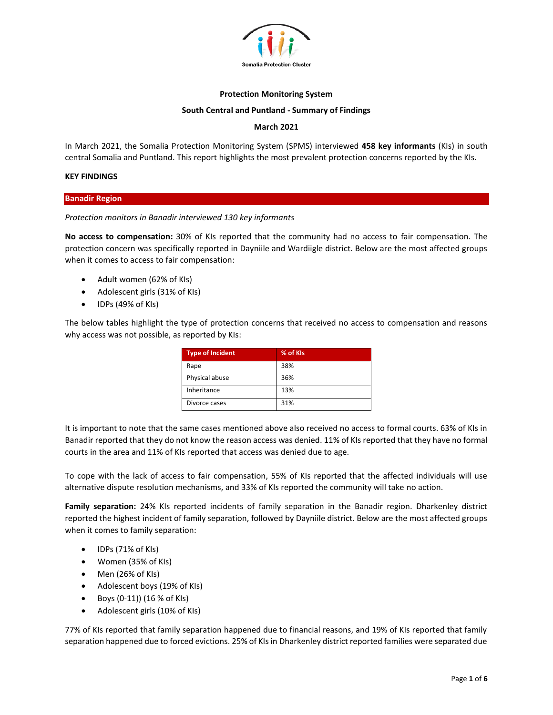

## **Protection Monitoring System**

#### **South Central and Puntland - Summary of Findings**

## **March 2021**

In March 2021, the Somalia Protection Monitoring System (SPMS) interviewed **458 key informants** (KIs) in south central Somalia and Puntland. This report highlights the most prevalent protection concerns reported by the KIs.

#### **KEY FINDINGS**

**Banadir Region**

## *Protection monitors in Banadir interviewed 130 key informants*

**No access to compensation:** 30% of KIs reported that the community had no access to fair compensation. The protection concern was specifically reported in Dayniile and Wardiigle district. Below are the most affected groups when it comes to access to fair compensation:

- Adult women (62% of KIs)
- Adolescent girls (31% of KIs)
- IDPs (49% of KIs)

The below tables highlight the type of protection concerns that received no access to compensation and reasons why access was not possible, as reported by KIs:

| <b>Type of Incident</b> | % of KIs |
|-------------------------|----------|
| Rape                    | 38%      |
| Physical abuse          | 36%      |
| Inheritance             | 13%      |
| Divorce cases           | 31%      |

It is important to note that the same cases mentioned above also received no access to formal courts. 63% of KIs in Banadir reported that they do not know the reason access was denied. 11% of KIs reported that they have no formal courts in the area and 11% of KIs reported that access was denied due to age.

To cope with the lack of access to fair compensation, 55% of KIs reported that the affected individuals will use alternative dispute resolution mechanisms, and 33% of KIs reported the community will take no action.

**Family separation:** 24% KIs reported incidents of family separation in the Banadir region. Dharkenley district reported the highest incident of family separation, followed by Dayniile district. Below are the most affected groups when it comes to family separation:

- IDPs (71% of KIs)
- Women (35% of KIs)
- Men (26% of KIs)
- Adolescent boys (19% of KIs)
- Boys (0-11)) (16 % of KIs)
- Adolescent girls (10% of KIs)

77% of KIs reported that family separation happened due to financial reasons, and 19% of KIs reported that family separation happened due to forced evictions. 25% of KIs in Dharkenley district reported families were separated due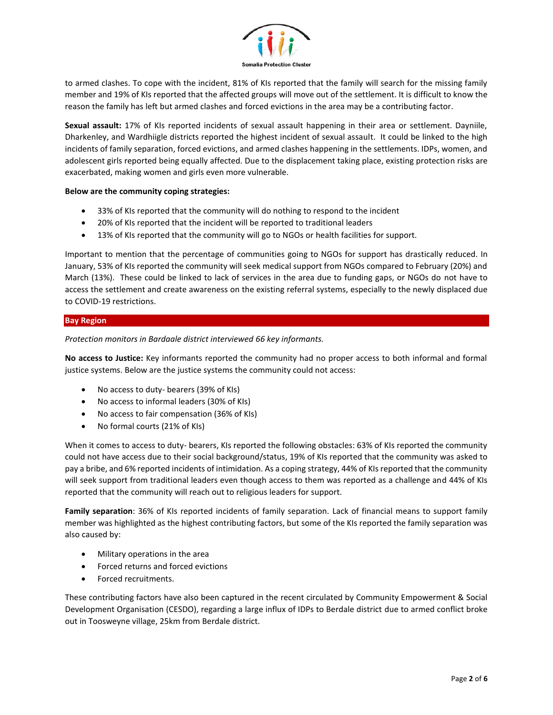

to armed clashes. To cope with the incident, 81% of KIs reported that the family will search for the missing family member and 19% of KIs reported that the affected groups will move out of the settlement. It is difficult to know the reason the family has left but armed clashes and forced evictions in the area may be a contributing factor.

**Sexual assault:** 17% of KIs reported incidents of sexual assault happening in their area or settlement. Dayniile, Dharkenley, and Wardhiigle districts reported the highest incident of sexual assault. It could be linked to the high incidents of family separation, forced evictions, and armed clashes happening in the settlements. IDPs, women, and adolescent girls reported being equally affected. Due to the displacement taking place, existing protection risks are exacerbated, making women and girls even more vulnerable.

## **Below are the community coping strategies:**

- 33% of KIs reported that the community will do nothing to respond to the incident
- 20% of KIs reported that the incident will be reported to traditional leaders
- 13% of KIs reported that the community will go to NGOs or health facilities for support.

Important to mention that the percentage of communities going to NGOs for support has drastically reduced. In January, 53% of KIs reported the community will seek medical support from NGOs compared to February (20%) and March (13%). These could be linked to lack of services in the area due to funding gaps, or NGOs do not have to access the settlement and create awareness on the existing referral systems, especially to the newly displaced due to COVID-19 restrictions.

## **Bay Region**

*Protection monitors in Bardaale district interviewed 66 key informants.*

**No access to Justice:** Key informants reported the community had no proper access to both informal and formal justice systems. Below are the justice systems the community could not access:

- No access to duty- bearers (39% of KIs)
- No access to informal leaders (30% of KIs)
- No access to fair compensation (36% of KIs)
- No formal courts (21% of KIs)

When it comes to access to duty- bearers, KIs reported the following obstacles: 63% of KIs reported the community could not have access due to their social background/status, 19% of KIs reported that the community was asked to pay a bribe, and 6% reported incidents of intimidation. As a coping strategy, 44% of KIs reported that the community will seek support from traditional leaders even though access to them was reported as a challenge and 44% of KIs reported that the community will reach out to religious leaders for support.

**Family separation**: 36% of KIs reported incidents of family separation. Lack of financial means to support family member was highlighted as the highest contributing factors, but some of the KIs reported the family separation was also caused by:

- Military operations in the area
- Forced returns and forced evictions
- Forced recruitments.

These contributing factors have also been captured in the recent circulated by Community Empowerment & Social Development Organisation (CESDO), regarding a large influx of IDPs to Berdale district due to armed conflict broke out in Toosweyne village, 25km from Berdale district.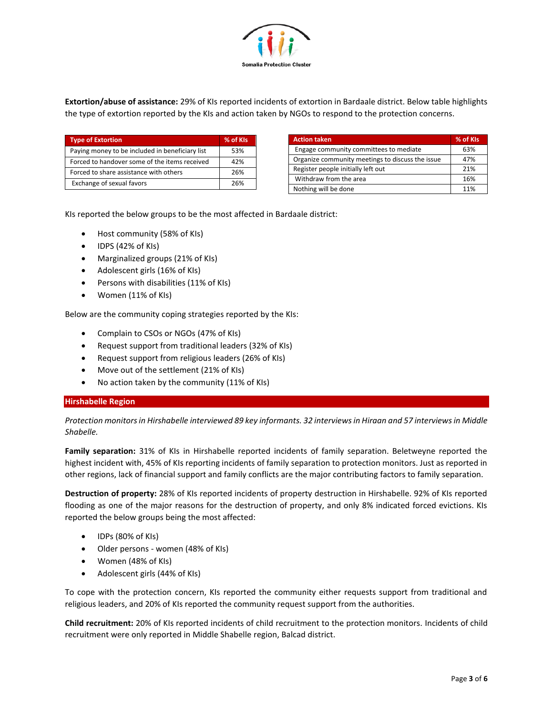

**Extortion/abuse of assistance:** 29% of KIs reported incidents of extortion in Bardaale district. Below table highlights the type of extortion reported by the KIs and action taken by NGOs to respond to the protection concerns.

| <b>Type of Extortion</b>                        | % of KIs |
|-------------------------------------------------|----------|
| Paying money to be included in beneficiary list | 53%      |
| Forced to handover some of the items received   | 42%      |
| Forced to share assistance with others          | 26%      |
| Exchange of sexual favors                       | 26%      |

| <b>Action taken</b>                              | % of KIs |
|--------------------------------------------------|----------|
| Engage community committees to mediate           | 63%      |
| Organize community meetings to discuss the issue | 47%      |
| Register people initially left out               | 21%      |
| Withdraw from the area                           | 16%      |
| Nothing will be done                             | 11%      |

KIs reported the below groups to be the most affected in Bardaale district:

- Host community (58% of KIs)
- IDPS (42% of KIs)
- Marginalized groups (21% of KIs)
- Adolescent girls (16% of KIs)
- Persons with disabilities (11% of KIs)
- Women (11% of KIs)

Below are the community coping strategies reported by the KIs:

- Complain to CSOs or NGOs (47% of KIs)
- Request support from traditional leaders (32% of KIs)
- Request support from religious leaders (26% of KIs)
- Move out of the settlement (21% of KIs)
- No action taken by the community (11% of KIs)

## **Hirshabelle Region**

*Protection monitors in Hirshabelle interviewed 89 key informants. 32 interviews in Hiraan and 57 interviews in Middle Shabelle.* 

**Family separation:** 31% of KIs in Hirshabelle reported incidents of family separation. Beletweyne reported the highest incident with, 45% of KIs reporting incidents of family separation to protection monitors. Just as reported in other regions, lack of financial support and family conflicts are the major contributing factors to family separation.

**Destruction of property:** 28% of KIs reported incidents of property destruction in Hirshabelle. 92% of KIs reported flooding as one of the major reasons for the destruction of property, and only 8% indicated forced evictions. KIs reported the below groups being the most affected:

- IDPs (80% of KIs)
- Older persons women (48% of KIs)
- Women (48% of KIs)
- Adolescent girls (44% of KIs)

To cope with the protection concern, KIs reported the community either requests support from traditional and religious leaders, and 20% of KIs reported the community request support from the authorities.

**Child recruitment:** 20% of KIs reported incidents of child recruitment to the protection monitors. Incidents of child recruitment were only reported in Middle Shabelle region, Balcad district.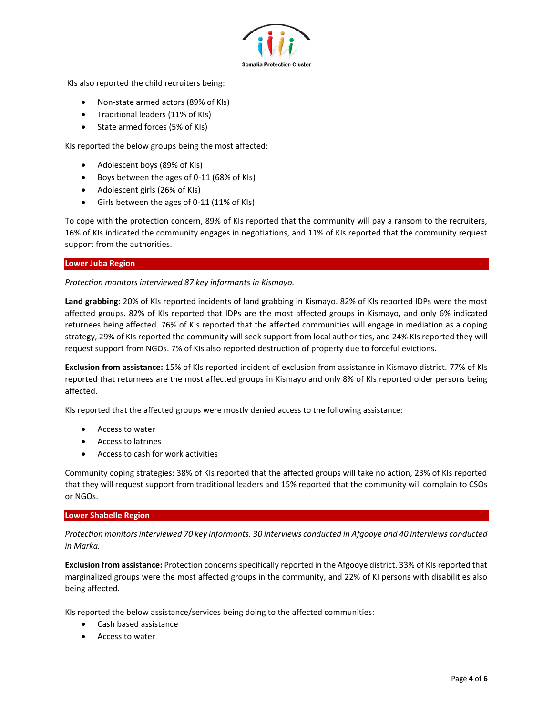

KIs also reported the child recruiters being:

- Non-state armed actors (89% of KIs)
- Traditional leaders (11% of KIs)
- State armed forces (5% of KIs)

KIs reported the below groups being the most affected:

- Adolescent boys (89% of KIs)
- Boys between the ages of 0-11 (68% of KIs)
- Adolescent girls (26% of KIs)
- Girls between the ages of 0-11 (11% of KIs)

To cope with the protection concern, 89% of KIs reported that the community will pay a ransom to the recruiters, 16% of KIs indicated the community engages in negotiations, and 11% of KIs reported that the community request support from the authorities.

## **Lower Juba Region**

*Protection monitors interviewed 87 key informants in Kismayo.* 

**Land grabbing:** 20% of KIs reported incidents of land grabbing in Kismayo. 82% of KIs reported IDPs were the most affected groups. 82% of KIs reported that IDPs are the most affected groups in Kismayo, and only 6% indicated returnees being affected. 76% of KIs reported that the affected communities will engage in mediation as a coping strategy, 29% of KIs reported the community will seek support from local authorities, and 24% KIs reported they will request support from NGOs. 7% of KIs also reported destruction of property due to forceful evictions.

**Exclusion from assistance:** 15% of KIs reported incident of exclusion from assistance in Kismayo district. 77% of KIs reported that returnees are the most affected groups in Kismayo and only 8% of KIs reported older persons being affected.

KIs reported that the affected groups were mostly denied access to the following assistance:

- Access to water
- Access to latrines
- Access to cash for work activities

Community coping strategies: 38% of KIs reported that the affected groups will take no action, 23% of KIs reported that they will request support from traditional leaders and 15% reported that the community will complain to CSOs or NGOs.

## **Lower Shabelle Region**

*Protection monitors interviewed 70 key informants. 30 interviews conducted in Afgooye and 40 interviews conducted in Marka.* 

**Exclusion from assistance:** Protection concerns specifically reported in the Afgooye district. 33% of KIs reported that marginalized groups were the most affected groups in the community, and 22% of KI persons with disabilities also being affected.

KIs reported the below assistance/services being doing to the affected communities:

- Cash based assistance
- Access to water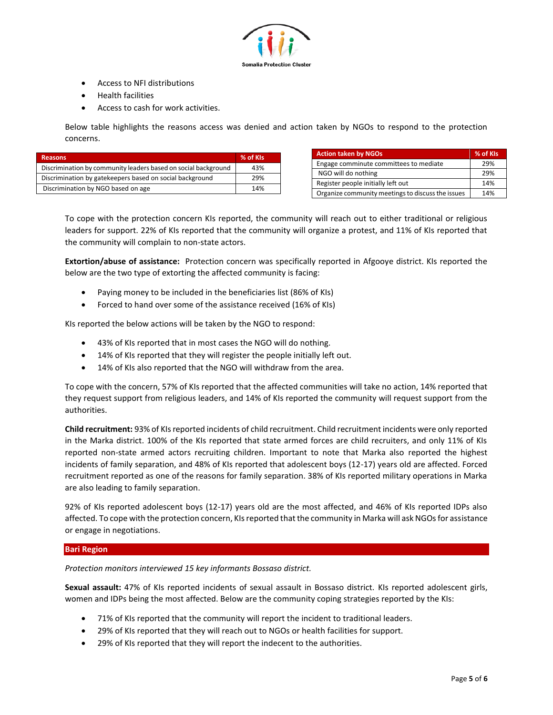

- Access to NFI distributions
- Health facilities
- Access to cash for work activities.

Below table highlights the reasons access was denied and action taken by NGOs to respond to the protection concerns.

| <b>Reasons</b>                                                 | % of KIs |
|----------------------------------------------------------------|----------|
| Discrimination by community leaders based on social background | 43%      |
| Discrimination by gatekeepers based on social background       | 29%      |
| Discrimination by NGO based on age                             | 14%      |

| <b>Action taken by NGOs</b>                       | % of KIs |
|---------------------------------------------------|----------|
| Engage comminute committees to mediate            | 29%      |
| NGO will do nothing                               | 29%      |
| Register people initially left out                | 14%      |
| Organize community meetings to discuss the issues | 14%      |

To cope with the protection concern KIs reported, the community will reach out to either traditional or religious leaders for support. 22% of KIs reported that the community will organize a protest, and 11% of KIs reported that the community will complain to non-state actors.

**Extortion/abuse of assistance:** Protection concern was specifically reported in Afgooye district. KIs reported the below are the two type of extorting the affected community is facing:

- Paying money to be included in the beneficiaries list (86% of KIs)
- Forced to hand over some of the assistance received (16% of KIs)

KIs reported the below actions will be taken by the NGO to respond:

- 43% of KIs reported that in most cases the NGO will do nothing.
- 14% of KIs reported that they will register the people initially left out.
- 14% of KIs also reported that the NGO will withdraw from the area.

To cope with the concern, 57% of KIs reported that the affected communities will take no action, 14% reported that they request support from religious leaders, and 14% of KIs reported the community will request support from the authorities.

**Child recruitment:** 93% of KIs reported incidents of child recruitment. Child recruitment incidents were only reported in the Marka district. 100% of the KIs reported that state armed forces are child recruiters, and only 11% of KIs reported non-state armed actors recruiting children. Important to note that Marka also reported the highest incidents of family separation, and 48% of KIs reported that adolescent boys (12-17) years old are affected. Forced recruitment reported as one of the reasons for family separation. 38% of KIs reported military operations in Marka are also leading to family separation.

92% of KIs reported adolescent boys (12-17) years old are the most affected, and 46% of KIs reported IDPs also affected. To cope with the protection concern, KIs reported that the community in Marka will ask NGOs for assistance or engage in negotiations.

# **Bari Region**

*Protection monitors interviewed 15 key informants Bossaso district.*

**Sexual assault:** 47% of KIs reported incidents of sexual assault in Bossaso district. KIs reported adolescent girls, women and IDPs being the most affected. Below are the community coping strategies reported by the KIs:

- 71% of KIs reported that the community will report the incident to traditional leaders.
- 29% of KIs reported that they will reach out to NGOs or health facilities for support.
- 29% of KIs reported that they will report the indecent to the authorities.